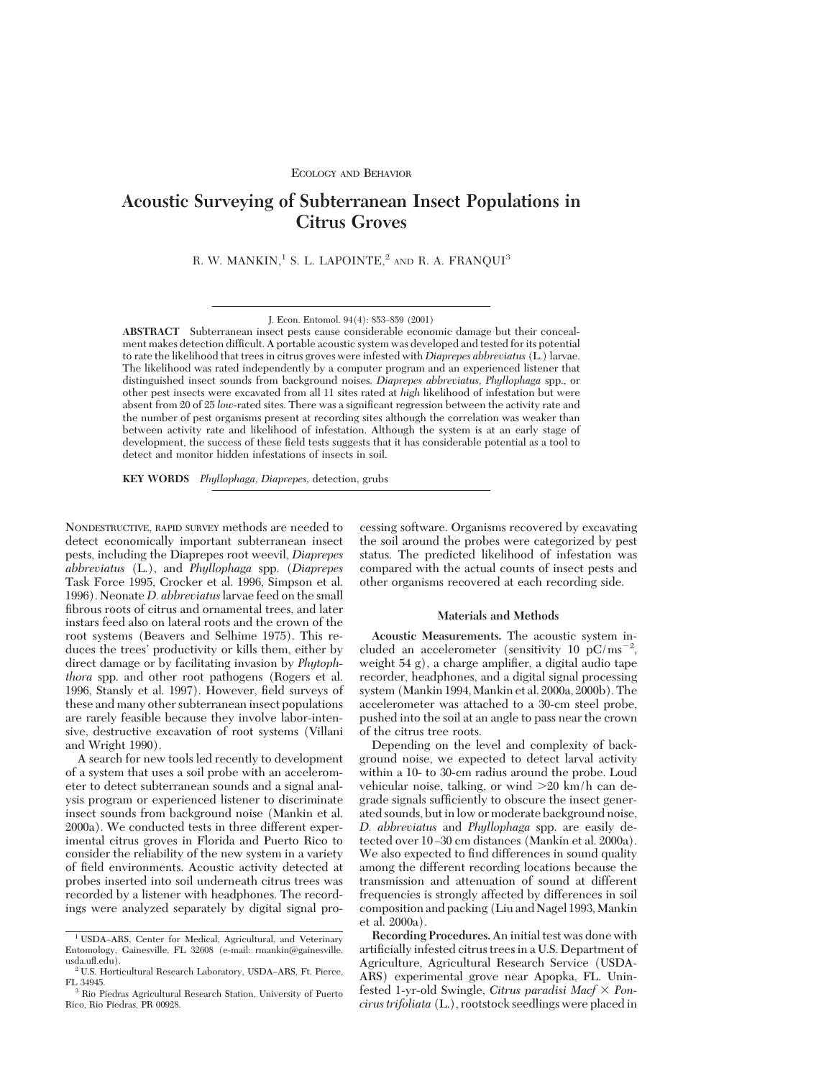# **Acoustic Surveying of Subterranean Insect Populations in Citrus Groves**

R. W. MANKIN,<sup>1</sup> S. L. LAPOINTE,<sup>2</sup> AND R. A. FRANQUI<sup>3</sup>

**ABSTRACT** Subterranean insect pests cause considerable economic damage but their concealment makes detection difficult. A portable acoustic system was developed and tested for its potential to rate the likelihood that trees in citrus groves were infested with *Diaprepes abbreviatus* (L.) larvae. The likelihood was rated independently by a computer program and an experienced listener that distinguished insect sounds from background noises. *Diaprepes abbreviatus, Phyllophaga* spp., or other pest insects were excavated from all 11 sites rated at *high* likelihood of infestation but were absent from 20 of 25 *low*-rated sites. There was a significant regression between the activity rate and the number of pest organisms present at recording sites although the correlation was weaker than between activity rate and likelihood of infestation. Although the system is at an early stage of development, the success of these field tests suggests that it has considerable potential as a tool to detect and monitor hidden infestations of insects in soil.

**KEY WORDS** *Phyllophaga, Diaprepes,* detection, grubs

NONDESTRUCTIVE, RAPID SURVEY methods are needed to detect economically important subterranean insect pests, including the Diaprepes root weevil, *Diaprepes abbreviatus* (L.), and *Phyllophaga* spp. (*Diaprepes* Task Force 1995, Crocker et al. 1996, Simpson et al. 1996). Neonate *D. abbreviatus*larvae feed on the small fibrous roots of citrus and ornamental trees, and later instars feed also on lateral roots and the crown of the root systems (Beavers and Selhime 1975). This reduces the trees' productivity or kills them, either by direct damage or by facilitating invasion by *Phytophthora* spp. and other root pathogens (Rogers et al. 1996, Stansly et al. 1997). However, field surveys of these and many other subterranean insect populations are rarely feasible because they involve labor-intensive, destructive excavation of root systems (Villani and Wright 1990).

A search for new tools led recently to development of a system that uses a soil probe with an accelerometer to detect subterranean sounds and a signal analysis program or experienced listener to discriminate insect sounds from background noise (Mankin et al. 2000a). We conducted tests in three different experimental citrus groves in Florida and Puerto Rico to consider the reliability of the new system in a variety of field environments. Acoustic activity detected at probes inserted into soil underneath citrus trees was recorded by a listener with headphones. The recordings were analyzed separately by digital signal processing software. Organisms recovered by excavating the soil around the probes were categorized by pest status. The predicted likelihood of infestation was compared with the actual counts of insect pests and other organisms recovered at each recording side.

#### **Materials and Methods**

**Acoustic Measurements.** The acoustic system included an accelerometer (sensitivity 10  $pC/ms^{-2}$ , weight  $54$  g), a charge amplifier, a digital audio tape recorder, headphones, and a digital signal processing system (Mankin 1994,Mankin et al. 2000a, 2000b). The accelerometer was attached to a 30-cm steel probe, pushed into the soil at an angle to pass near the crown of the citrus tree roots.

Depending on the level and complexity of background noise, we expected to detect larval activity within a 10- to 30-cm radius around the probe. Loud vehicular noise, talking, or wind  $>20$  km/h can degrade signals sufficiently to obscure the insect generated sounds, but in low or moderate background noise, *D. abbreviatus* and *Phyllophaga* spp. are easily detected over 10-30 cm distances (Mankin et al. 2000a). We also expected to find differences in sound quality among the different recording locations because the transmission and attenuation of sound at different frequencies is strongly affected by differences in soil composition and packing (Liu and Nagel 1993, Mankin et al. 2000a).

**Recording Procedures.** An initial test was done with artificially infested citrus trees in a U.S. Department of Agriculture, Agricultural Research Service (USDA-ARS) experimental grove near Apopka, FL. Uninfested 1-yr-old Swingle, *Citrus paradisi Macf*  $\times$  *Poncirus trifoliata* (L.), rootstock seedlings were placed in

J. Econ. Entomol. 94(4): 853-859 (2001)

<sup>&</sup>lt;sup>1</sup> USDA-ARS, Center for Medical, Agricultural, and Veterinary Entomology, Gainesville, FL 32608 (e-mail: rmankin@gainesville. usda.ufl.edu).

 $\rm ^2$  U.S. Horticultural Research Laboratory, USDA–ARS, Ft. Pierce, FL 34945.

Rio Piedras Agricultural Research Station, University of Puerto Rico, Rio Piedras, PR 00928.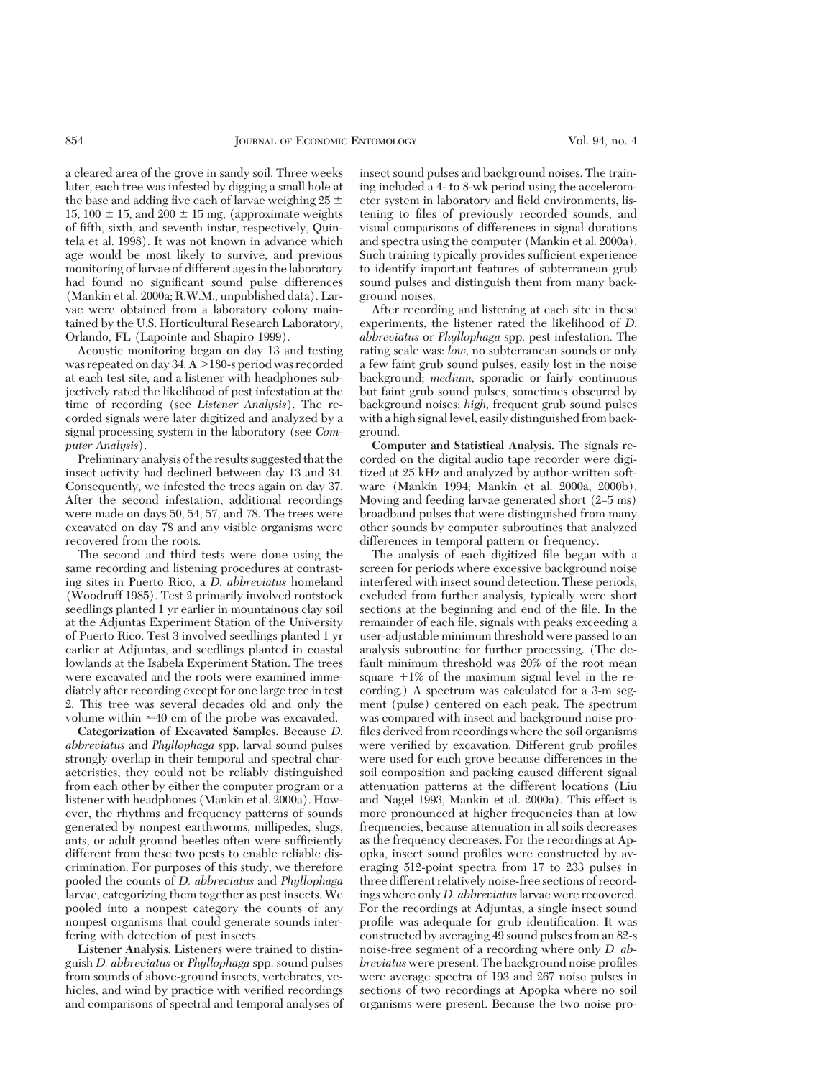a cleared area of the grove in sandy soil. Three weeks later, each tree was infested by digging a small hole at the base and adding five each of larvae weighing  $25 \pm$ 15, 100  $\pm$  15, and 200  $\pm$  15 mg, (approximate weights of fifth, sixth, and seventh instar, respectively, Quintela et al. 1998). It was not known in advance which age would be most likely to survive, and previous monitoring of larvae of different ages in the laboratory had found no significant sound pulse differences (Mankin et al. 2000a; R.W.M., unpublished data). Larvae were obtained from a laboratory colony maintained by the U.S. Horticultural Research Laboratory, Orlando, FL (Lapointe and Shapiro 1999).

Acoustic monitoring began on day 13 and testing was repeated on day 34.  $A > 180$ -s period was recorded at each test site, and a listener with headphones subjectively rated the likelihood of pest infestation at the time of recording (see *Listener Analysis*). The recorded signals were later digitized and analyzed by a signal processing system in the laboratory (see *Computer Analysis*).

Preliminary analysis of the results suggested that the insect activity had declined between day 13 and 34. Consequently, we infested the trees again on day 37. After the second infestation, additional recordings were made on days 50, 54, 57, and 78. The trees were excavated on day 78 and any visible organisms were recovered from the roots.

The second and third tests were done using the same recording and listening procedures at contrasting sites in Puerto Rico, a *D. abbreviatus* homeland (Woodruff 1985). Test 2 primarily involved rootstock seedlings planted 1 yr earlier in mountainous clay soil at the Adjuntas Experiment Station of the University of Puerto Rico. Test 3 involved seedlings planted 1 yr earlier at Adjuntas, and seedlings planted in coastal lowlands at the Isabela Experiment Station. The trees were excavated and the roots were examined immediately after recording except for one large tree in test 2. This tree was several decades old and only the volume within  $\approx 40$  cm of the probe was excavated.

**Categorization of Excavated Samples.** Because *D. abbreviatus* and *Phyllophaga* spp. larval sound pulses strongly overlap in their temporal and spectral characteristics, they could not be reliably distinguished from each other by either the computer program or a listener with headphones (Mankin et al. 2000a). However, the rhythms and frequency patterns of sounds generated by nonpest earthworms, millipedes, slugs, ants, or adult ground beetles often were sufficiently different from these two pests to enable reliable discrimination. For purposes of this study, we therefore pooled the counts of *D. abbreviatus* and *Phyllophaga* larvae, categorizing them together as pest insects. We pooled into a nonpest category the counts of any nonpest organisms that could generate sounds interfering with detection of pest insects.

**Listener Analysis.** Listeners were trained to distinguish *D. abbreviatus* or *Phyllophaga* spp. sound pulses from sounds of above-ground insects, vertebrates, vehicles, and wind by practice with verified recordings and comparisons of spectral and temporal analyses of insect sound pulses and background noises. The training included a 4- to 8-wk period using the accelerometer system in laboratory and field environments, listening to files of previously recorded sounds, and visual comparisons of differences in signal durations and spectra using the computer (Mankin et al. 2000a). Such training typically provides sufficient experience to identify important features of subterranean grub sound pulses and distinguish them from many background noises.

After recording and listening at each site in these experiments, the listener rated the likelihood of *D. abbreviatus* or *Phyllophaga* spp. pest infestation. The rating scale was: *low,* no subterranean sounds or only a few faint grub sound pulses, easily lost in the noise background; *medium,* sporadic or fairly continuous but faint grub sound pulses, sometimes obscured by background noises; *high,* frequent grub sound pulses with a high signal level, easily distinguished from background.

**Computer and Statistical Analysis.** The signals recorded on the digital audio tape recorder were digitized at 25 kHz and analyzed by author-written software (Mankin 1994; Mankin et al. 2000a, 2000b). Moving and feeding larvae generated short (2–5 ms) broadband pulses that were distinguished from many other sounds by computer subroutines that analyzed differences in temporal pattern or frequency.

The analysis of each digitized file began with a screen for periods where excessive background noise interfered with insect sound detection. These periods, excluded from further analysis, typically were short sections at the beginning and end of the file. In the remainder of each file, signals with peaks exceeding a user-adjustable minimum threshold were passed to an analysis subroutine for further processing. (The default minimum threshold was 20% of the root mean square  $+1\%$  of the maximum signal level in the recording.) A spectrum was calculated for a 3-m segment (pulse) centered on each peak. The spectrum was compared with insect and background noise profiles derived from recordings where the soil organisms were verified by excavation. Different grub profiles were used for each grove because differences in the soil composition and packing caused different signal attenuation patterns at the different locations (Liu and Nagel 1993, Mankin et al. 2000a). This effect is more pronounced at higher frequencies than at low frequencies, because attenuation in all soils decreases as the frequency decreases. For the recordings at Apopka, insect sound profiles were constructed by averaging 512-point spectra from 17 to 233 pulses in three different relatively noise-free sections of recordings where only *D. abbreviatus*larvae were recovered. For the recordings at Adjuntas, a single insect sound profile was adequate for grub identification. It was constructed by averaging 49 sound pulses from an 82-s noise-free segment of a recording where only *D. abbreviatus* were present. The background noise profiles were average spectra of 193 and 267 noise pulses in sections of two recordings at Apopka where no soil organisms were present. Because the two noise pro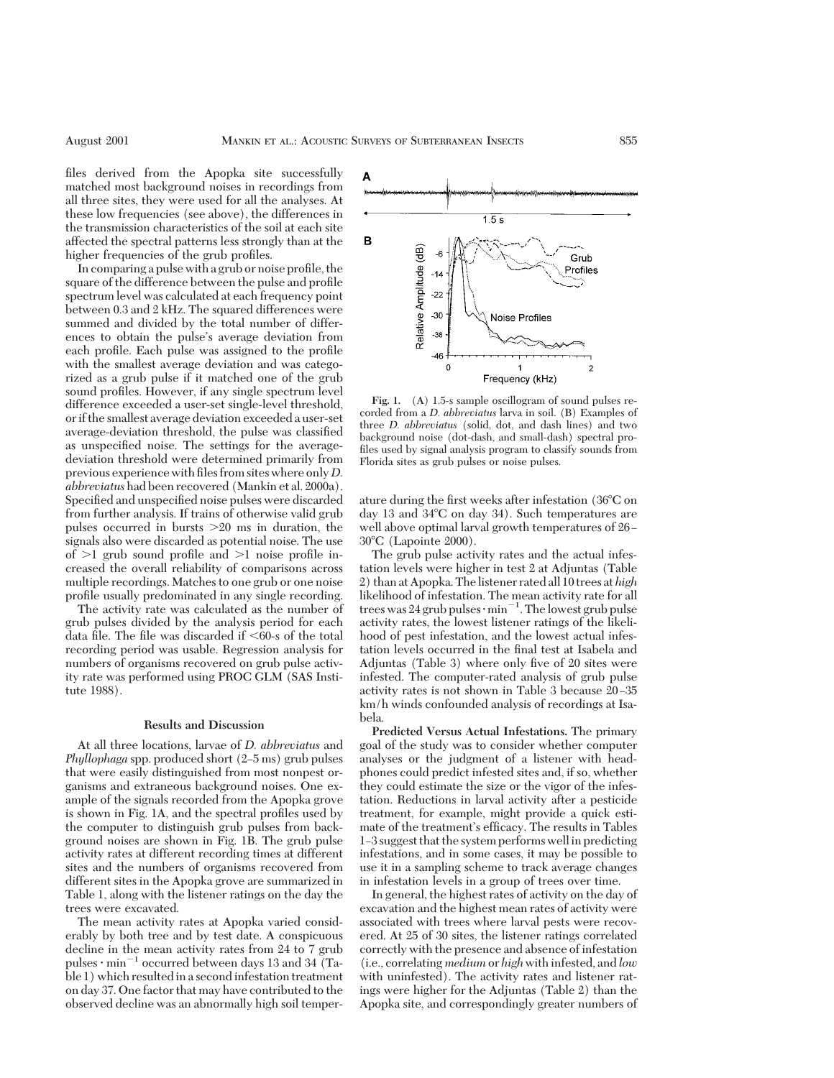files derived from the Apopka site successfully matched most background noises in recordings from all three sites, they were used for all the analyses. At these low frequencies (see above), the differences in the transmission characteristics of the soil at each site affected the spectral patterns less strongly than at the higher frequencies of the grub profiles.

In comparing a pulse with a grub or noise profile, the square of the difference between the pulse and profile spectrum level was calculated at each frequency point between 0.3 and 2 kHz. The squared differences were summed and divided by the total number of differences to obtain the pulse's average deviation from each profile. Each pulse was assigned to the profile with the smallest average deviation and was categorized as a grub pulse if it matched one of the grub sound profiles. However, if any single spectrum level difference exceeded a user-set single-level threshold, orif the smallest average deviation exceeded a user-set average-deviation threshold, the pulse was classified as unspecified noise. The settings for the averagedeviation threshold were determined primarily from previous experience with files from sites where only *D*. *abbreviatus* had been recovered (Mankin et al. 2000a). Specified and unspecified noise pulses were discarded from further analysis. If trains of otherwise valid grub pulses occurred in bursts  $>20$  ms in duration, the signals also were discarded as potential noise. The use of  $>1$  grub sound profile and  $>1$  noise profile increased the overall reliability of comparisons across multiple recordings. Matches to one grub or one noise profile usually predominated in any single recording.

The activity rate was calculated as the number of grub pulses divided by the analysis period for each data file. The file was discarded if  $<60$ -s of the total recording period was usable. Regression analysis for numbers of organisms recovered on grub pulse activity rate was performed using PROC GLM (SAS Institute 1988).

#### **Results and Discussion**

At all three locations, larvae of *D. abbreviatus* and *Phyllophaga* spp. produced short (2–5 ms) grub pulses that were easily distinguished from most nonpest organisms and extraneous background noises. One example of the signals recorded from the Apopka grove is shown in Fig. 1A, and the spectral profiles used by the computer to distinguish grub pulses from background noises are shown in Fig. 1B. The grub pulse activity rates at different recording times at different sites and the numbers of organisms recovered from different sites in the Apopka grove are summarized in Table 1, along with the listener ratings on the day the trees were excavated.

The mean activity rates at Apopka varied considerably by both tree and by test date. A conspicuous decline in the mean activity rates from 24 to 7 grub pulses  $\cdot$  min<sup>-1</sup> occurred between days 13 and 34 (Table 1) which resulted in a second infestation treatment on day 37. One factor that may have contributed to the observed decline was an abnormally high soil temper-



**Fig. 1.** (A) 1.5-s sample oscillogram of sound pulses recorded from a *D. abbreviatus* larva in soil. (B) Examples of three *D. abbreviatus* (solid, dot, and dash lines) and two background noise (dot-dash, and small-dash) spectral profiles used by signal analysis program to classify sounds from Florida sites as grub pulses or noise pulses.

ature during the first weeks after infestation (36 $\rm ^{o}C$  on day 13 and  $34^{\circ}$ C on day 34). Such temperatures are well above optimal larval growth temperatures of 26- $30^{\circ}$ C (Lapointe 2000).

The grub pulse activity rates and the actual infestation levels were higher in test 2 at Adjuntas (Table 2) than at Apopka. Thelistener rated all 10 trees at *high* likelihood of infestation. The mean activity rate for all trees was 24 grub pulses  $\cdot$  min<sup>-1</sup>. The lowest grub pulse activity rates, the lowest listener ratings of the likelihood of pest infestation, and the lowest actual infestation levels occurred in the final test at Isabela and Adjuntas (Table 3) where only five of 20 sites were infested. The computer-rated analysis of grub pulse activity rates is not shown in Table 3 because 20-35 km/h winds confounded analysis of recordings at Isabela.

**Predicted Versus Actual Infestations.** The primary goal of the study was to consider whether computer analyses or the judgment of a listener with headphones could predict infested sites and, if so, whether they could estimate the size or the vigor of the infestation. Reductions in larval activity after a pesticide treatment, for example, might provide a quick estimate of the treatment's efficacy. The results in Tables 1–3 suggest that the system performs well in predicting infestations, and in some cases, it may be possible to use it in a sampling scheme to track average changes in infestation levels in a group of trees over time.

In general, the highest rates of activity on the day of excavation and the highest mean rates of activity were associated with trees where larval pests were recovered. At 25 of 30 sites, the listener ratings correlated correctly with the presence and absence of infestation (i.e., correlating *medium* or *high*with infested, and *low* with uninfested). The activity rates and listener ratings were higher for the Adjuntas (Table 2) than the Apopka site, and correspondingly greater numbers of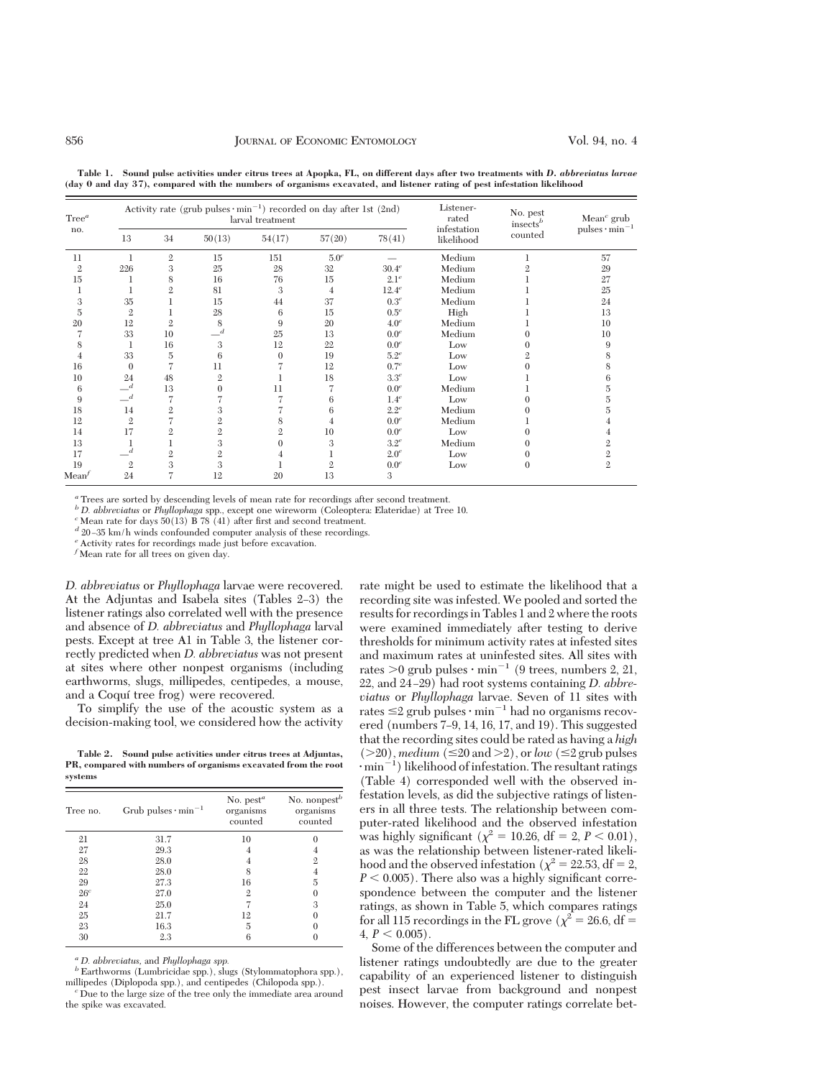| Tree <sup>a</sup><br>no. | Activity rate (grub pulses $\cdot$ min <sup>-1</sup> ) recorded on day after 1st (2nd)<br>larval treatment |                |                |              |                  |                  | Listener-<br>rated        | No. pest<br>$insects^b$ | Mean <sup><math>c</math></sup> grub |
|--------------------------|------------------------------------------------------------------------------------------------------------|----------------|----------------|--------------|------------------|------------------|---------------------------|-------------------------|-------------------------------------|
|                          | 13                                                                                                         | 34             | 50(13)         | 54(17)       | 57(20)           | 78(41)           | infestation<br>likelihood | counted                 | pulses $\cdot$ min <sup>-1</sup>    |
| 11                       |                                                                                                            | $\mathfrak{2}$ | 15             | 151          | 5.0 <sup>e</sup> |                  | Medium                    |                         | 57                                  |
| $\mathfrak{2}$           | 226                                                                                                        | 3              | 25             | 28           | 32               | $30.4^e$         | Medium                    |                         | 29                                  |
| 15                       |                                                                                                            | 8              | 16             | 76           | 15               | 2.1 <sup>e</sup> | Medium                    |                         | 27                                  |
|                          |                                                                                                            | $\mathfrak{2}$ | 81             | 3            | 4                | $12.4^e$         | Medium                    |                         | 25                                  |
| 3                        | 35                                                                                                         |                | 15             | 44           | 37               | 0.3 <sup>e</sup> | Medium                    |                         | 24                                  |
| 5                        | $\overline{2}$                                                                                             |                | 28             | 6            | 15               | $0.5^e$          | High                      |                         | 13                                  |
| 20                       | 12                                                                                                         | $\mathfrak{2}$ | 8              | 9            | 20               | 4.0 <sup>e</sup> | Medium                    |                         | 10                                  |
|                          | 33                                                                                                         | 10             | d              | 25           | 13               | 0.0 <sup>e</sup> | Medium                    |                         | 10                                  |
|                          |                                                                                                            | 16             | 3              | 12           | 22               | 0.0 <sup>e</sup> | Low                       |                         |                                     |
|                          | 33                                                                                                         | 5              | 6              | $\mathbf{0}$ | 19               | $5.2^e$          | Low                       |                         |                                     |
| 16                       | $\Omega$                                                                                                   |                | 11             |              | 12               | 0.7 <sup>e</sup> | Low                       |                         |                                     |
| 10                       | 24                                                                                                         | 48             | $\mathfrak{2}$ |              | 18               | $3.3^e$          | Low                       |                         |                                     |
| 6                        | $-$ <sup>d</sup>                                                                                           | 13             | $\Omega$       | 11           |                  | 0.0 <sup>e</sup> | Medium                    |                         |                                     |
| 9                        | $\overline{d}$                                                                                             |                |                |              | 6                | $1.4^e$          | Low                       |                         |                                     |
| 18                       | 14                                                                                                         | $\mathfrak{2}$ | 3              |              | 6                | $2.2^e$          | Medium                    |                         |                                     |
| 12                       | $\overline{2}$                                                                                             |                | $\mathfrak{2}$ | 8            |                  | 0.0 <sup>e</sup> | Medium                    |                         |                                     |
| 14                       | 17                                                                                                         | $\mathfrak{2}$ | $\mathfrak{2}$ | 2            | 10               | 0.0 <sup>e</sup> | Low                       |                         |                                     |
| 13                       |                                                                                                            |                | 3              | 0            | 3                | $3.2^e$          | Medium                    |                         |                                     |
| 17                       | d                                                                                                          | $\mathfrak{2}$ | $\mathfrak{2}$ | 4            |                  | 2.0 <sup>e</sup> | Low                       |                         |                                     |
| 19                       | $\mathfrak{2}$                                                                                             | 3              | 3              |              |                  | 0.0 <sup>e</sup> | Low                       |                         | $\mathfrak{2}$                      |
| Mean <sup>f</sup>        | 24                                                                                                         |                | 12             | 20           | 13               | 3                |                           |                         |                                     |

**Table 1. Sound pulse activities under citrus trees at Apopka, FL, on different days after two treatments with** *D. abbreviatus larvae* **(day 0 and day 37), compared with the numbers of organisms excavated, and listener rating of pest infestation likelihood**

*<sup>a</sup>* Trees are sorted by descending levels of mean rate for recordings after second treatment.

*b D. abbreviatus* or *Phyllophaga* spp., except one wireworm (Coleoptera: Elateridae) at Tree 10. *c* Mean rate for days 50(13) B 78 (41) after first and second treatment.

 $\ensuremath{\mathnormal{d}}$  20–35 km/h winds confounded computer analysis of these recordings.

*<sup>e</sup>* Activity rates for recordings made just before excavation.

*<sup>f</sup>* Mean rate for all trees on given day.

*D. abbreviatus* or *Phyllophaga* larvae were recovered. At the Adjuntas and Isabela sites (Tables 2–3) the listener ratings also correlated well with the presence and absence of *D. abbreviatus* and *Phyllophaga* larval pests. Except at tree A1 in Table 3, the listener correctly predicted when *D. abbreviatus* was not present at sites where other nonpest organisms (including earthworms, slugs, millipedes, centipedes, a mouse, and a Coquí tree frog) were recovered.

To simplify the use of the acoustic system as a decision-making tool, we considered how the activity

**Table 2. Sound pulse activities under citrus trees at Adjuntas, PR, compared with numbers of organisms excavated from the root systems**

| Tree no.        | Grub pulses $\cdot$ min <sup>-1</sup> | No. $pest^a$<br>organisms<br>counted | No. nonpest <sup><math>b</math></sup><br>organisms<br>counted |
|-----------------|---------------------------------------|--------------------------------------|---------------------------------------------------------------|
| 21              | 31.7                                  | 10                                   |                                                               |
| 27              | 29.3                                  |                                      |                                                               |
| 28              | 28.0                                  |                                      | 2                                                             |
| 22              | 28.0                                  | 8                                    |                                                               |
| 29              | 27.3                                  | 16                                   | 5                                                             |
| 26 <sup>c</sup> | 27.0                                  | 2                                    |                                                               |
| 24              | 25.0                                  |                                      | 3                                                             |
| 25              | 21.7                                  | 12                                   |                                                               |
| 23              | 16.3                                  | 5                                    |                                                               |
| 30              | 2.3                                   |                                      |                                                               |

*a D. abbreviatus,* and *Phyllophaga spp.*<br>*b* Earthworms (Lumbricidae spp.), slugs (Stylommatophora spp.), millipedes (Diplopoda spp.), and centipedes (Chilopoda spp.).

rate might be used to estimate the likelihood that a recording site was infested. We pooled and sorted the results for recordings in Tables 1 and 2 where the roots were examined immediately after testing to derive thresholds for minimum activity rates at infested sites and maximum rates at uninfested sites. All sites with rates  $>0$  grub pulses  $\cdot$  min<sup>-1</sup> (9 trees, numbers 2, 21, 22, and 24-29) had root systems containing *D. abbreviatus* or *Phyllophaga* larvae. Seven of 11 sites with rates  $\leq$  2 grub pulses  $\cdot$  min<sup>-1</sup> had no organisms recovered (numbers  $7-9$ , 14, 16, 17, and 19). This suggested that the recording sites could be rated as having a *high*  $(>20)$ , *medium*  $(\leq 20 \text{ and } >2)$ , or *low*  $(\leq 2 \text{ grub pulses})$  $\cdot$  min<sup>-1</sup>) likelihood of infestation. The resultant ratings (Table 4) corresponded well with the observed infestation levels, as did the subjective ratings of listeners in all three tests. The relationship between computer-rated likelihood and the observed infestation was highly significant ( $\chi^2 = 10.26$ , df = 2, *P* < 0.01), as was the relationship between listener-rated likelihood and the observed infestation ( $\chi^2 = 22.53$ , df = 2,  $P < 0.005$ ). There also was a highly significant correspondence between the computer and the listener ratings, as shown in Table 5, which compares ratings for all 115 recordings in the FL grove ( $\chi^2$  = 26.6, df =  $4, P < 0.005$ .

Some of the differences between the computer and listener ratings undoubtedly are due to the greater capability of an experienced listener to distinguish pest insect larvae from background and nonpest noises. However, the computer ratings correlate bet-

<sup>&</sup>lt;sup>*c*</sup> Due to the large size of the tree only the immediate area around the spike was excavated.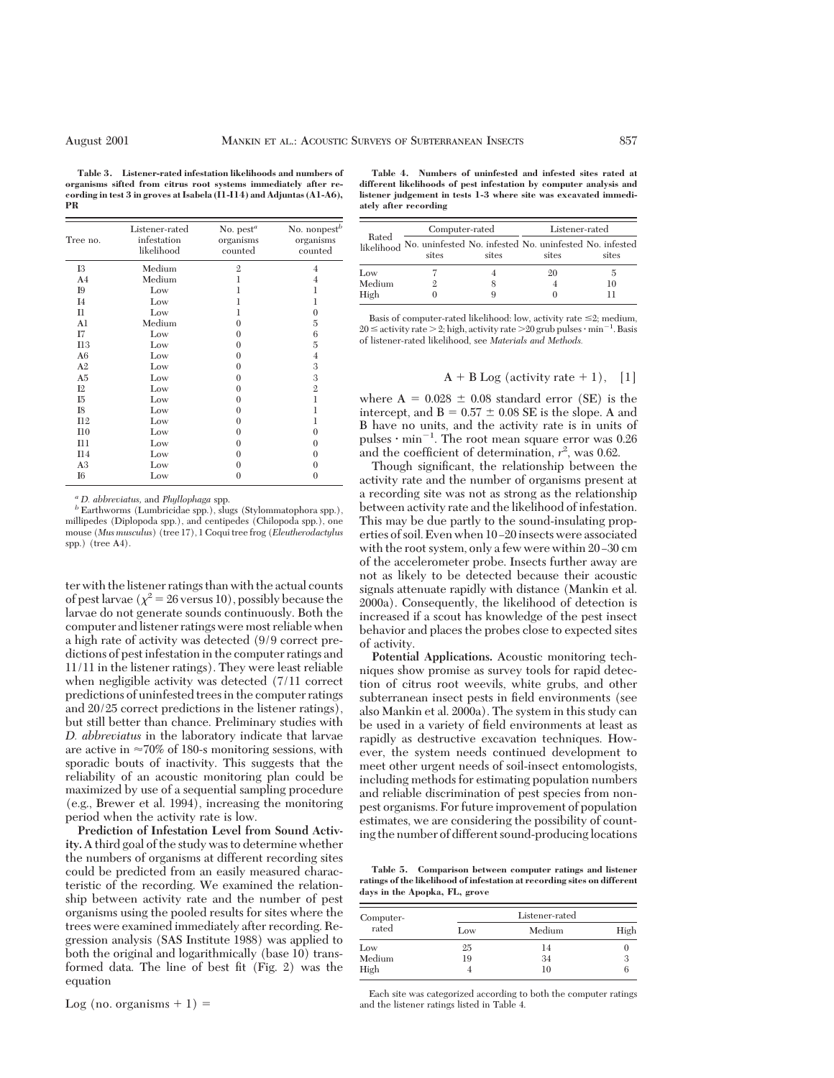**Table 3. Listener-rated infestation likelihoods and numbers of organisms sifted from citrus root systems immediately after recording in test 3 in groves at Isabela (I1-I14) and Adjuntas (A1-A6), PR**

| Tree no.       | Listener-rated<br>infestation<br>likelihood | No. $pest^a$<br>organisms<br>counted | No. nonpest <sup>b</sup><br>organisms<br>counted |
|----------------|---------------------------------------------|--------------------------------------|--------------------------------------------------|
| <b>I3</b>      | Medium                                      | $\mathbf{2}$                         | 4                                                |
| A <sub>4</sub> | Medium                                      | 1                                    | 4                                                |
| <b>I</b> 9     | Low                                         |                                      | 1                                                |
| I <sub>4</sub> | Low                                         | 1                                    | 1                                                |
| $_{\rm II}$    | Low                                         | 1                                    | 0                                                |
| A <sub>1</sub> | Medium                                      | $\Omega$                             | 5                                                |
| Ι7             | Low                                         | $\theta$                             | 6                                                |
| I13            | Low                                         | $\theta$                             | 5                                                |
| A6             | Low                                         | $\theta$                             | $\overline{4}$                                   |
| A <sub>2</sub> | Low                                         | $\theta$                             | 3                                                |
| A <sub>5</sub> | Low                                         | $\theta$                             | 3                                                |
| I2             | Low                                         | $\theta$                             | $\overline{2}$                                   |
| I5             | Low                                         | $\theta$                             | 1                                                |
| I8             | Low                                         | $\theta$                             | 1                                                |
| I12            | Low                                         | $\theta$                             | 1                                                |
| I10            | Low                                         | $\theta$                             | 0                                                |
| I11            | Low                                         | $\theta$                             | $\Omega$                                         |
| I14            | Low                                         | $\theta$                             | $\Omega$                                         |
| A <sub>3</sub> | Low                                         | $\theta$                             | 0                                                |
| I6             | Low                                         | 0                                    | 0                                                |

 $^a$  *D. abbreviatus,* and *Phyllophaga* spp. *b* Earthworms (Lumbricidae spp.), slugs (Stylommatophora spp.), millipedes (Diplopoda spp.), and centipedes (Chilopoda spp.), one mouse (*Mus musculus*) (tree 17), 1 Coqui tree frog (*Eleutherodactylus* spp.) (tree A4).

ter with the listener ratings than with the actual counts of pest larvae ( $\chi^2$  = 26 versus 10), possibly because the larvae do not generate sounds continuously. Both the computer and listener ratings were most reliable when a high rate of activity was detected (9/9 correct predictions of pest infestation in the computer ratings and 11/11 in the listener ratings). They were least reliable when negligible activity was detected (7/11 correct predictions of uninfested trees in the computer ratings and 20/25 correct predictions in the listener ratings), but still better than chance. Preliminary studies with *D. abbreviatus* in the laboratory indicate that larvae are active in  $\approx 70\%$  of 180-s monitoring sessions, with sporadic bouts of inactivity. This suggests that the reliability of an acoustic monitoring plan could be maximized by use of a sequential sampling procedure (e.g., Brewer et al. 1994), increasing the monitoring period when the activity rate is low.

**Prediction of Infestation Level from Sound Activity.** A third goal of the study was to determine whether the numbers of organisms at different recording sites could be predicted from an easily measured characteristic of the recording. We examined the relationship between activity rate and the number of pest organisms using the pooled results for sites where the trees were examined immediately after recording. Regression analysis (SAS Institute 1988) was applied to both the original and logarithmically (base 10) transformed data. The line of best fit  $(Fig. 2)$  was the equation

Log (no. organisms  $+ 1$ ) =

**Table 4. Numbers of uninfested and infested sites rated at different likelihoods of pest infestation by computer analysis and listener judgement in tests 1-3 where site was excavated immediately after recording**

|        | Computer-rated |       | Listener-rated                                                              |       |  |
|--------|----------------|-------|-----------------------------------------------------------------------------|-------|--|
| Rated  | sites          | sites | likelihood No. uninfested No. infested No. uninfested No. infested<br>sites | sites |  |
| Low    |                |       | 20                                                                          | 5     |  |
| Medium |                |       |                                                                             | 10    |  |
| High   |                | 9     |                                                                             |       |  |

Basis of computer-rated likelihood: low, activity rate  $\leq 2$ ; medium,  $20 \leq$  activity rate  $>$  2; high, activity rate  $>$  20 grub pulses  $\cdot$  min<sup>-1</sup>. Basis of listener-rated likelihood, see *Materials and Methods.*

### $A + B Log$  (activity rate + 1), [1]

where  $A = 0.028 \pm 0.08$  standard error (SE) is the intercept, and  $B = 0.57 \pm 0.08$  SE is the slope. A and B have no units, and the activity rate is in units of pulses  $\cdot$  min<sup>-1</sup>. The root mean square error was 0.26 and the coefficient of determination,  $r^2$ , was 0.62.

Though significant, the relationship between the activity rate and the number of organisms present at a recording site was not as strong as the relationship between activity rate and the likelihood of infestation. This may be due partly to the sound-insulating properties of soil. Even when 10-20 insects were associated with the root system, only a few were within  $20-30$  cm of the accelerometer probe. Insects further away are not as likely to be detected because their acoustic signals attenuate rapidly with distance (Mankin et al. 2000a). Consequently, the likelihood of detection is increased if a scout has knowledge of the pest insect behavior and places the probes close to expected sites of activity.

**Potential Applications.** Acoustic monitoring techniques show promise as survey tools for rapid detection of citrus root weevils, white grubs, and other subterranean insect pests in field environments (see also Mankin et al. 2000a). The system in this study can be used in a variety of field environments at least as rapidly as destructive excavation techniques. However, the system needs continued development to meet other urgent needs of soil-insect entomologists, including methods for estimating population numbers and reliable discrimination of pest species from nonpest organisms. For future improvement of population estimates, we are considering the possibility of counting the number of different sound-producinglocations

**Table 5. Comparison between computer ratings and listener ratings of the likelihood of infestation at recording sites on different days in the Apopka, FL, grove**

| Computer- |     | Listener-rated |      |
|-----------|-----|----------------|------|
| rated     | Low | Medium         | High |
| Low       | 25  | 14             |      |
| Medium    | 19  | 34             |      |
| High      |     | 10             |      |

Each site was categorized according to both the computer ratings and the listener ratings listed in Table 4.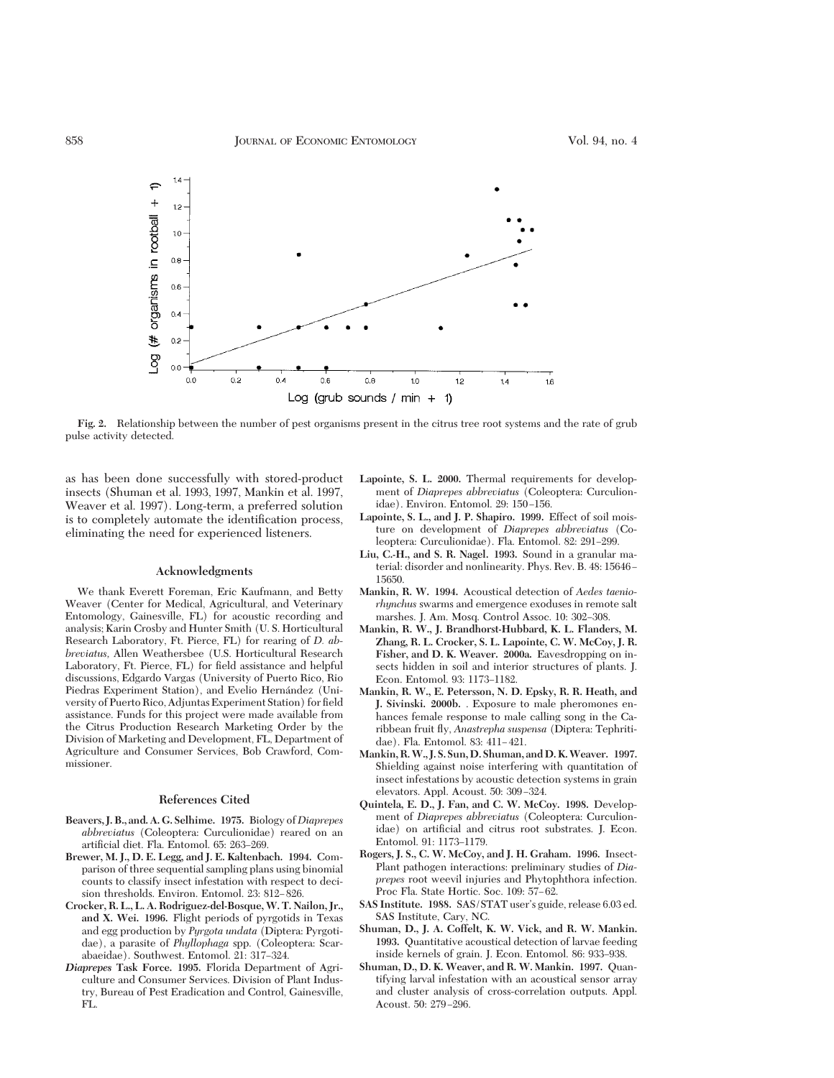

**Fig. 2.** Relationship between the number of pest organisms present in the citrus tree root systems and the rate of grub pulse activity detected.

as has been done successfully with stored-product insects (Shuman et al. 1993, 1997, Mankin et al. 1997, Weaver et al. 1997). Long-term, a preferred solution is to completely automate the identification process, eliminating the need for experienced listeners.

### **Acknowledgments**

We thank Everett Foreman, Eric Kaufmann, and Betty Weaver (Center for Medical, Agricultural, and Veterinary Entomology, Gainesville, FL) for acoustic recording and analysis; Karin Crosby and Hunter Smith (U. S. Horticultural Research Laboratory, Ft. Pierce, FL) for rearing of *D. abbreviatus,* Allen Weathersbee (U.S. Horticultural Research Laboratory, Ft. Pierce, FL) for field assistance and helpful discussions, Edgardo Vargas (University of Puerto Rico, Rio Piedras Experiment Station), and Evelio Hernández (University of Puerto Rico, Adjuntas Experiment Station) for field assistance. Funds for this project were made available from the Citrus Production Research Marketing Order by the Division of Marketing and Development, FL, Department of Agriculture and Consumer Services, Bob Crawford, Commissioner.

## **References Cited**

- **Beavers, J. B., and. A. G. Selhime. 1975.** Biology of*Diaprepes abbreviatus* (Coleoptera: Curculionidae) reared on an artificial diet. Fla. Entomol. 65: 263-269.
- **Brewer, M. J., D. E. Legg, and J. E. Kaltenbach. 1994.** Comparison of three sequential sampling plans using binomial counts to classify insect infestation with respect to decision thresholds. Environ. Entomol. 23: 812-826.
- **Crocker, R. L., L. A. Rodriguez-del-Bosque, W. T. Nailon, Jr., and X. Wei. 1996.** Flight periods of pyrgotids in Texas and egg production by *Pyrgota undata* (Diptera: Pyrgotidae), a parasite of *Phyllophaga* spp. (Coleoptera: Scarabaeidae). Southwest. Entomol. 21: 317-324.
- *Diaprepes* **Task Force. 1995.** Florida Department of Agriculture and Consumer Services. Division of Plant Industry, Bureau of Pest Eradication and Control, Gainesville, FL.
- **Lapointe, S. L. 2000.** Thermal requirements for development of *Diaprepes abbreviatus* (Coleoptera: Curculionidae). Environ. Entomol. 29: 150-156.
- **Lapointe, S. L., and J. P. Shapiro. 1999.** Effect of soil moisture on development of *Diaprepes abbreviatus* (Coleoptera: Curculionidae). Fla. Entomol. 82: 291-299.
- **Liu, C.-H., and S. R. Nagel. 1993.** Sound in a granular material: disorder and nonlinearity. Phys. Rev. B. 48: 15646 – 15650.
- **Mankin, R. W. 1994.** Acoustical detection of *Aedes taeniorhynchus* swarms and emergence exoduses in remote salt marshes. J. Am. Mosq. Control Assoc. 10: 302–308.
- **Mankin, R. W., J. Brandhorst-Hubbard, K. L. Flanders, M. Zhang, R. L. Crocker, S. L. Lapointe, C. W. McCoy, J. R. Fisher, and D. K. Weaver. 2000a.** Eavesdropping on insects hidden in soil and interior structures of plants. J. Econ. Entomol. 93: 1173-1182.
- **Mankin, R. W., E. Petersson, N. D. Epsky, R. R. Heath, and J. Sivinski. 2000b.** . Exposure to male pheromones enhances female response to male calling song in the Caribbean fruit ßy, *Anastrepha suspensa* (Diptera: Tephritidae). Fla. Entomol. 83: 411-421.
- **Mankin, R.W., J. S. Sun,D. Shuman, andD. K.Weaver. 1997.** Shielding against noise interfering with quantitation of insect infestations by acoustic detection systems in grain elevators. Appl. Acoust. 50: 309-324.
- **Quintela, E. D., J. Fan, and C. W. McCoy. 1998.** Development of *Diaprepes abbreviatus* (Coleoptera: Curculionidae) on artificial and citrus root substrates. J. Econ. Entomol. 91: 1173-1179.
- **Rogers, J. S., C. W. McCoy, and J. H. Graham. 1996.** Insect-Plant pathogen interactions: preliminary studies of *Diaprepes* root weevil injuries and Phytophthora infection. Proc Fla. State Hortic. Soc. 109: 57-62.
- SAS Institute. 1988. SAS/STAT user's guide, release 6.03 ed. SAS Institute, Cary, NC.
- **Shuman, D., J. A. Coffelt, K. W. Vick, and R. W. Mankin. 1993.** Quantitative acoustical detection of larvae feeding inside kernels of grain. J. Econ. Entomol. 86: 933-938.
- **Shuman, D., D. K. Weaver, and R. W. Mankin. 1997.** Quantifying larval infestation with an acoustical sensor array and cluster analysis of cross-correlation outputs. Appl. Acoust. 50: 279-296.